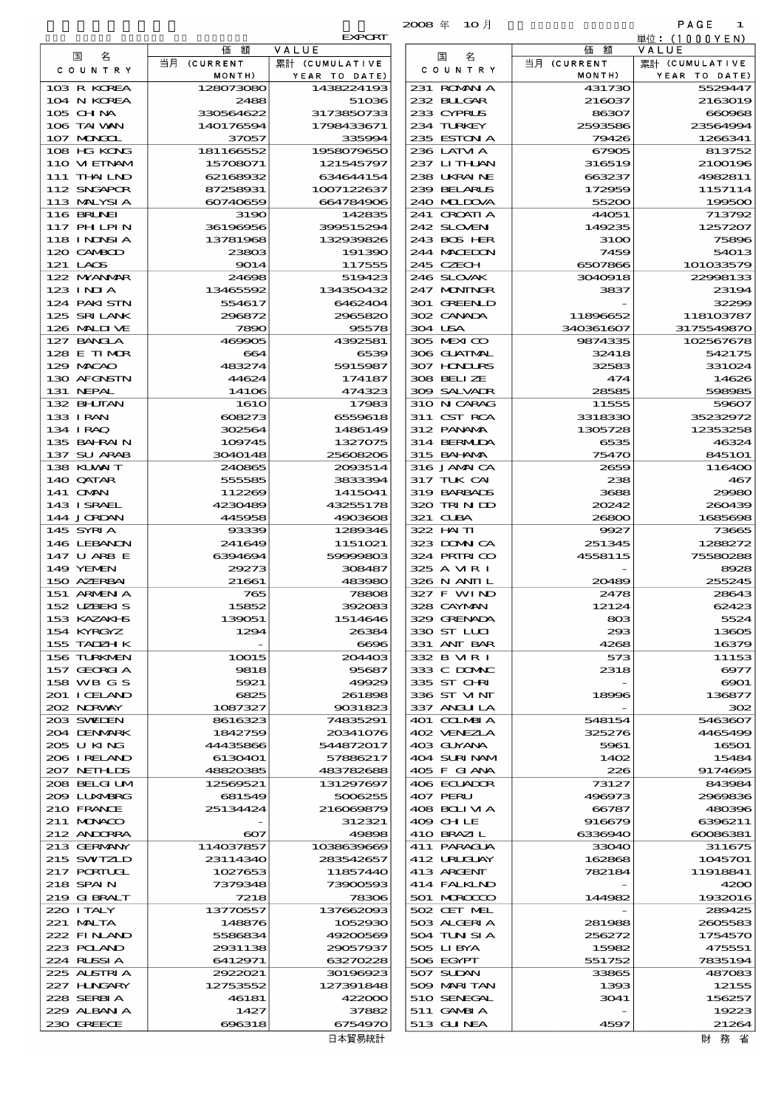|                            |                        |                          | 2008年 10月                  |                       | PAGE<br>1               |
|----------------------------|------------------------|--------------------------|----------------------------|-----------------------|-------------------------|
|                            |                        | <b>EXPORT</b>            |                            |                       | 単位:(1000YEN)            |
| 名<br>国                     | 価<br>額<br>当月 (CURRENT  | VALUE<br>累計 (CUMULATIVE  | 名<br>国                     | 額<br>価<br>当月 (CURRENT | VALUE<br>累計 (CUMULATIVE |
| COUNTRY                    | MONTH)                 | YEAR TO DATE)            | C O U N T R Y              | MONTH)                | YEAR TO DATE)           |
| 103 R KOREA                | 128073080              | 1438224193               | 231 ROMNA                  | 431730                | 5529447                 |
| 104 N KOREA                | 2488                   | 51036                    | 232 BUGAR                  | 216037                | 2163019                 |
| 105 CHNA<br>106 TAI WAN    | 330564622<br>140176594 | 3173850733<br>1798433671 | 233 CYPRUS<br>234 TURKEY   | 86307<br>2593586      | 660968<br>23564994      |
| 107 MNGCL                  | 37057                  | 335994                   | 235 ESTON A                | 79426                 | 1266341                 |
| 108 HG KONG                | 181166552              | 1958079650               | 236 LATM A                 | 67905                 | 813752                  |
| 110 VIETNAM                | 15708071               | 121545797                | 237 LITHAN                 | 316519                | 2100196                 |
| 111 THAILND                | 62168932               | 634644154                | 238 UKRAINE                | 663237                | 4982811                 |
| 112 SNGAPOR<br>113 MALYSIA | 87258931<br>60740659   | 1007122637<br>664784906  | 239 BELARUS<br>240 MIDOVA  | 172959<br>55200       | 1157114<br>199500       |
| <b>116 BRUNEI</b>          | 3190                   | 142835                   | 241 CROATIA                | 44051                 | 713792                  |
| 117 PHLPIN                 | 36196956               | 399515294                | 242 SLOVEN                 | 149235                | 1257207                 |
| 118 I NDNSI A              | 13781968               | 132939826                | 243 BOS HER                | 3100                  | 75896                   |
| 120 CAMBOD                 | 23803                  | 191390                   | 244 MACEDON                | 7459                  | 54013                   |
| 121 LAOS<br>122 MYANAR     | 9014<br>24698          | 117555<br>519423         | 245 CZECH<br>246 SLOVAK    | 6507866<br>3040918    | 101033579<br>22998133   |
| 123 INJA                   | 13465592               | 134350432                | 247 MININGR                | 3837                  | 23194                   |
| 124 PAKI STN               | 554617                 | 6462404                  | 301 GREENLD                |                       | 32299                   |
| 125 SRILANK                | 296872                 | 2965820                  | 302 CANADA                 | 11896652              | 118103787               |
| 126 MALIT VE<br>127 BANCLA | 7890<br>469905         | 95578<br>4392581         | 304 USA<br>305 MEXICO      | 340361607<br>9874335  | 3175549870              |
| 128 E TIMOR                | 664                    | 6539                     | 306 GUATMAL                | 32418                 | 102567678<br>542175     |
| 129 MACAO                  | 483274                 | 5915987                  | 307 HONDURS                | 32583                 | 331024                  |
| 130 AFGNSTN                | 44624                  | 174187                   | 308 BELLZE                 | 474                   | 14626                   |
| 131 NEPAL                  | 14106                  | 474323                   | 309 SALVADR                | 28585                 | 598985                  |
| 132 BHUTAN<br>133 IRAN     | 1610<br>608273         | 17983<br>6559618         | 310 N CARAG<br>311 CST RCA | 11555<br>3318330      | 59607<br>35232972       |
| 134 IRAQ                   | 302564                 | 1486149                  | 312 PANAMA                 | 1305728               | 12353258                |
| 135 BAHRAIN                | 109745                 | 1327075                  | 314 BERMIDA                | 6535                  | 46324                   |
| 137 SU ARAB                | 3040148                | 25608206                 | 315 BAHAMA                 | 75470                 | 845101                  |
| 138 KUWAIT<br>140 QATAR    | 240865                 | 2093514<br>3833394       | 316 JAMAICA<br>317 TUK CAI | 2659                  | 116400                  |
| 141 OMN                    | 555585<br>112269       | 1415041                  | 319 BARBADS                | 238<br>3688           | 467<br>29980            |
| 143 ISRAEL                 | 4230489                | 43255178                 | 320 TRINDO                 | 20242                 | 260439                  |
| 144 JORDAN                 | 445958                 | 4903608                  | 321 CLBA                   | 26800                 | 1685698                 |
| 145 SYRIA                  | 93339                  | 1289346                  | $322$ HN TI                | 9927                  | 73665                   |
| 146 LEBANON<br>147 U ARB E | 241649<br>6394694      | 1151021<br>59999803      | 323 DOMNICA<br>324 PRIRICO | 251345<br>4558115     | 1288272<br>75580288     |
| 149 YEMEN                  | 29273                  | 308487                   | 325 A MR I                 |                       | 8928                    |
| 150 AZERBAI                | 21661                  | 483980                   | 326 N ANII L               | 20489                 | 255245                  |
| 151 ARMENIA                | 765                    | 78808                    | 327 F WIND                 | 2478                  | 28643                   |
| 152 UZEKIS<br>153 KAZAKHS  | 15852<br>139051        | 392083<br>1514646        | 328 CAYMAN<br>329 GRENADA  | 12124<br>803          | 62423<br>5524           |
| 154 KYRGYZ                 | 1294                   | 26384                    | 330 ST LUI                 | 293                   | 13605                   |
| 155 TADZH K                |                        | 6696                     | 331 ANT BAR                | 4268                  | 16379                   |
| 156 TURKMEN                | 10015                  | 204403                   | 332 B MR I                 | 573                   | 11153                   |
| 157 GEORGIA                | 9818<br>5921           | 95687                    | 333 C DOMAC<br>335 ST CHRI | 2318                  | 6977                    |
| 158 WB G S<br>201 I CELAND | 6825                   | 49929<br>261898          | 336 ST VINT                | 18996                 | 6901<br>136877          |
| 202 NORWAY                 | 1087327                | 9031823                  | 337 ANGU LA                |                       | 302                     |
| 203 SWIDEN                 | 8616323                | 74835291                 | 401 COLMBIA                | 548154                | 5463607                 |
| 204 DENMARK                | 1842759                | 20341076                 | 402 VENEZIA                | 325276                | 4465499                 |
| 205 U KING<br>206 I RELAND | 44435866<br>6130401    | 544872017<br>57886217    | 403 GUYANA<br>404 SURINAM  | 5961<br>1402          | 16501<br>15484          |
| 207 NETHLIS                | 48820385               | 483782688                | 405 F GIANA                | 226                   | 9174695                 |
| 208 BELGI UM               | 12569521               | 131297697                | 406 ECUADOR                | 73127                 | 843984                  |
| 2009 LUNABRG               | 681549<br>25134424     | 5006255<br>216069879     | 407 PERU                   | 496973<br>66787       | 2969836                 |
| 210 FRANCE<br>211 MUNACO   |                        | 312321                   | 408 BOLIMA<br>409 CHLE     | 916679                | 480396<br>6396211       |
| 212 ANDORRA                | $\infty$               | 49898                    | 410 BRAZIL                 | 6336940               | 60086381                |
| 213 GERMANY                | 114037857              | 1038639669               | 411 PARAGUA                | 33040                 | 311675                  |
| 215 SWIZLD                 | 23114340               | 283542657                | 412 URUCUAY                | 162868                | 1045701                 |
| 217 PORTUGL<br>218 SPAIN   | 1027653<br>7379348     | 11857440<br>73900593     | 413 ARGENT<br>414 FALKIND  | 782184                | 11918841<br>4200        |
| 219 GIBRALT                | 7218                   | 78306                    | 501 MROCCO                 | 144982                | 1932016                 |
| 220 I TALY                 | 13770557               | 137662093                | 502 CET MEL                |                       | 289425                  |
| 221 MALTA                  | 148876                 | 1052930                  | 503 ALGERIA                | 281988                | 2605583                 |
| 222 FINAND<br>223 POLAND   | 5586834                | 49200569                 | 504 TUN SI A<br>505 LIBYA  | 256272                | 1754570                 |
| 224 RUSSI A                | 2931138<br>6412971     | 29057937<br>63270228     | 506 EGYPT                  | 15982<br>551752       | 475551<br>7835194       |
| 225 ALSTRIA                | 2922021                | 30196923                 | 507 SUDAN                  | 33865                 | 487083                  |
| 227 H.NGARY                | 12753552               | 127391848                | 509 MARI TAN               | 1393                  | 12155                   |
| 228 SERBIA                 | 46181                  | 422000                   | 510 SENEGAL                | 3041                  | 156257                  |
| 229 ALBAN A<br>230 GREECE  | 1427<br>696318         | 37882<br>6754970         | 511 GAMBIA<br>513 GUNEA    | 4597                  | 19223<br>21264          |
|                            |                        | □十些目始日                   |                            |                       | 日本 文ケ イジ                |

|                             |                        | <b>EXPORI</b>                   |
|-----------------------------|------------------------|---------------------------------|
| 国<br>名                      | 価<br>額                 | VALUE                           |
| C O U N T R Y               | 当月 (CURRENT<br>MONTH)  | 累計 (CUMULATIVE<br>YEAR TO DATE) |
| 103 R KOREA                 | 128073080              | 1438224193                      |
| 104 N KOREA                 | 2488                   | 51036                           |
| 105 CHNA<br>106 TAI VAN     | 330564622<br>140176594 | 3173850733<br>1798433671        |
| 107 MONGOL                  | 37057                  | 335994                          |
| 108 HG KONG                 | 181166552              | 1958079650                      |
| 110 VIEINAM<br>111 THAILND  | 15708071               | 121545797                       |
| 112 SNGAPOR                 | 62168932<br>87258931   | 634644154<br>1007122637         |
| 113 MALYSIA                 | 60740659               | 664784906                       |
| <b>116 BRUNEI</b>           | 3190                   | 142835                          |
| 117 PHLPIN<br>118 I NDNSI A | 36196956<br>13781968   | 399515294<br>132939826          |
| 120 CAMBOD                  | 23803                  | 191390                          |
| 121 LAOS                    | 9014                   | 117555                          |
| 122 NYANAR<br>$123$ INIA    | 24698<br>13465592      | 519423<br>134350432             |
| 124 PAKI STN                | 554617                 | 6462404                         |
| 125 SRILANK                 | 296872                 | 2965820                         |
| 126 MALII VE                | 7890                   | 95578                           |
| 127 BANCLA<br>128 E TIMOR   | 469905<br>664          | 4392581<br>6539                 |
| 129 MACAO                   | 483274                 | 5915987                         |
| 130 AFGNSTN                 | 44624                  | 174187                          |
| 131 NEPAL<br>132 BHUTAN     | 14106<br><b>1610</b>   | 474323<br>17983                 |
| 133 I RAN                   | 608273                 | 6559618                         |
| 134 I RAQ                   | 302564                 | 1486149                         |
| 135 BAHRAIN                 | 109745<br>3040148      | 1327075<br>25608206             |
| 137 SU ARAB<br>138 KUWAIT   | 240865                 | 2003514                         |
| 140 QATAR                   | 555585                 | 3833394                         |
| 141 OMN                     | 112269                 | 1415041                         |
| 143 I SRAEL<br>144 JORDAN   | 4230489<br>445958      | 43255178<br>4903606             |
| 145 SYRIA                   | 93339                  | 1289346                         |
| 146 LEBANON                 | 241649                 | 1151021                         |
| 147 U ARB E<br>149 YEMEN    | 6394694<br>29273       | 59999803<br>308487              |
| 150 AZERBAI                 | 21661                  | 483980                          |
| 151 ARMEN A<br>152 UZBEKIS  | 765                    | <b>78806</b>                    |
| 153 KAZAKI S                | 15852<br>139051        | 392083<br>1514646               |
| 154 KYRGYZ                  | 1294                   | 26384                           |
| 155 TADZH K                 |                        | 6696                            |
| 156 TURKMEN<br>157 GEORGIA  | 10015<br>9818          | 204403<br>95687                 |
| 158 WB G S                  | 5921                   | 49929                           |
| 201 I CELAND                | 6825                   | 261896                          |
| 202 NORWAY<br>203 SVELEN    | 1087327<br>8616323     | 9031823<br>74835291             |
| 204 DENMARK                 | 1842759                | 20341076                        |
| 205 U KING                  | 44435866               | 544872017                       |
| 206 IRELAND<br>207 NETHLIS  | 6130401<br>48820385    | 57886217<br>483782688           |
| 208 BELGI UM                | 12569521               | 131297697                       |
| 2009 LUXMBRG                | 681549                 | 5006255                         |
| 210 FRANCE<br>211 MONACO    | 25134424               | 216060879                       |
| 212 ANDORRA                 | $\infty$               | 312321<br>49898                 |
| 213 GERMANY                 | 114037857              | 1038639666                      |
| 215 SWIZLD                  | 23114340               | 283542657                       |
| 217 PORTUGL<br>218 SPAIN    | 1027653<br>7379348     | 11857440<br>73900593            |
| 219 GIBRALT                 | 7218                   | 78306                           |
| 220 I TALY                  | 13770557               | 137662000                       |
| 221 MALTA<br>222 FINLAND    | 148876<br>5586834      | 1052930<br>49200569             |
| 223 POLAND                  | 2931138                | 29057937                        |
| 224 RUSSIA                  | 6412971                | 63270225                        |
| 225 ALSTRIA                 | 2922021                | 30196923                        |
| 227 HNGARY<br>228 SERBIA    | 12753552<br>46181      | 127391848<br>422000             |
| 229 ALBAN A                 | 1427                   | 37882                           |
| 230 GREECE                  | 696318                 | 6754970                         |

財 務 省